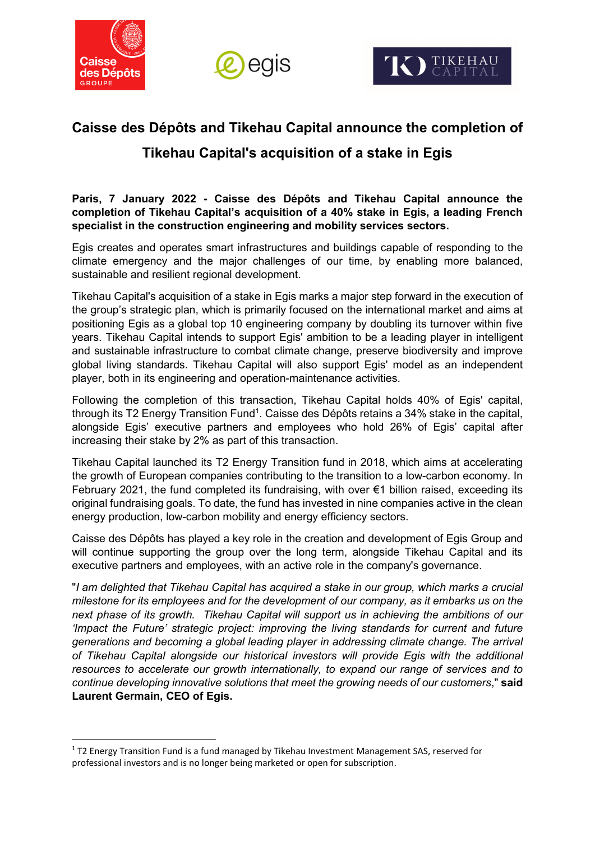

<u>.</u>





# **Caisse des Dépôts and Tikehau Capital announce the completion of Tikehau Capital's acquisition of a stake in Egis**

**Paris, 7 January 2022 - Caisse des Dépôts and Tikehau Capital announce the completion of Tikehau Capital's acquisition of a 40% stake in Egis, a leading French specialist in the construction engineering and mobility services sectors.** 

Egis creates and operates smart infrastructures and buildings capable of responding to the climate emergency and the major challenges of our time, by enabling more balanced, sustainable and resilient regional development.

Tikehau Capital's acquisition of a stake in Egis marks a major step forward in the execution of the group's strategic plan, which is primarily focused on the international market and aims at positioning Egis as a global top 10 engineering company by doubling its turnover within five years. Tikehau Capital intends to support Egis' ambition to be a leading player in intelligent and sustainable infrastructure to combat climate change, preserve biodiversity and improve global living standards. Tikehau Capital will also support Egis' model as an independent player, both in its engineering and operation-maintenance activities.

Following the completion of this transaction, Tikehau Capital holds 40% of Egis' capital, through its T2 Energy Transition Fund<sup>1</sup>. Caisse des Dépôts retains a 34% stake in the capital, alongside Egis' executive partners and employees who hold 26% of Egis' capital after increasing their stake by 2% as part of this transaction.

Tikehau Capital launched its T2 Energy Transition fund in 2018, which aims at accelerating the growth of European companies contributing to the transition to a low-carbon economy. In February 2021, the fund completed its fundraising, with over €1 billion raised, exceeding its original fundraising goals. To date, the fund has invested in nine companies active in the clean energy production, low-carbon mobility and energy efficiency sectors.

Caisse des Dépôts has played a key role in the creation and development of Egis Group and will continue supporting the group over the long term, alongside Tikehau Capital and its executive partners and employees, with an active role in the company's governance.

"*I am delighted that Tikehau Capital has acquired a stake in our group, which marks a crucial milestone for its employees and for the development of our company, as it embarks us on the next phase of its growth. Tikehau Capital will support us in achieving the ambitions of our 'Impact the Future' strategic project: improving the living standards for current and future generations and becoming a global leading player in addressing climate change. The arrival of Tikehau Capital alongside our historical investors will provide Egis with the additional resources to accelerate our growth internationally, to expand our range of services and to continue developing innovative solutions that meet the growing needs of our customers*," **said Laurent Germain, CEO of Egis.**

<sup>&</sup>lt;sup>1</sup> T2 Energy Transition Fund is a fund managed by Tikehau Investment Management SAS, reserved for professional investors and is no longer being marketed or open for subscription.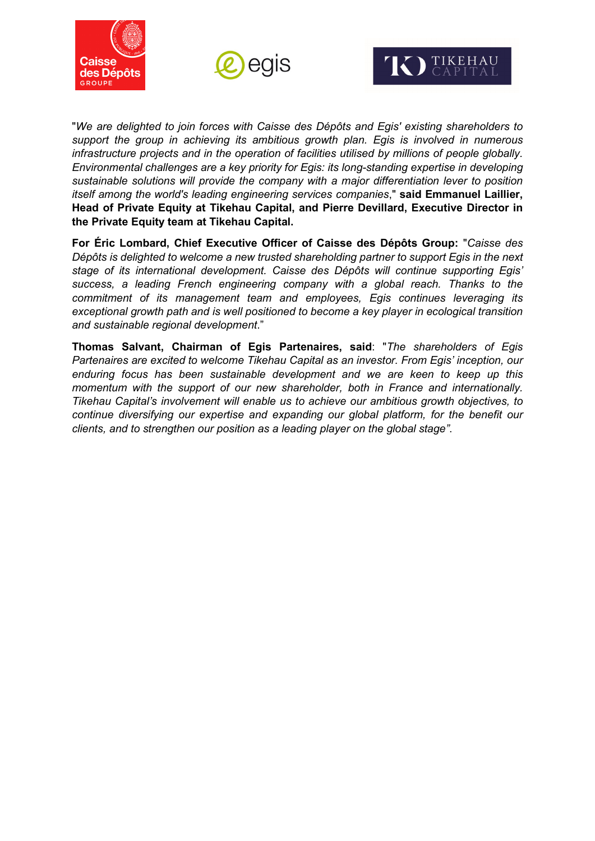





"*We are delighted to join forces with Caisse des Dépôts and Egis' existing shareholders to support the group in achieving its ambitious growth plan. Egis is involved in numerous infrastructure projects and in the operation of facilities utilised by millions of people globally. Environmental challenges are a key priority for Egis: its long-standing expertise in developing sustainable solutions will provide the company with a major differentiation lever to position itself among the world's leading engineering services companies*," **said Emmanuel Laillier, Head of Private Equity at Tikehau Capital, and Pierre Devillard, Executive Director in the Private Equity team at Tikehau Capital.**

**For Éric Lombard, Chief Executive Officer of Caisse des Dépôts Group:** "*Caisse des Dépôts is delighted to welcome a new trusted shareholding partner to support Egis in the next stage of its international development. Caisse des Dépôts will continue supporting Egis' success, a leading French engineering company with a global reach. Thanks to the commitment of its management team and employees, Egis continues leveraging its exceptional growth path and is well positioned to become a key player in ecological transition and sustainable regional development*."

**Thomas Salvant, Chairman of Egis Partenaires, said**: "*The shareholders of Egis Partenaires are excited to welcome Tikehau Capital as an investor. From Egis' inception, our enduring focus has been sustainable development and we are keen to keep up this momentum with the support of our new shareholder, both in France and internationally. Tikehau Capital's involvement will enable us to achieve our ambitious growth objectives, to continue diversifying our expertise and expanding our global platform, for the benefit our clients, and to strengthen our position as a leading player on the global stage"*.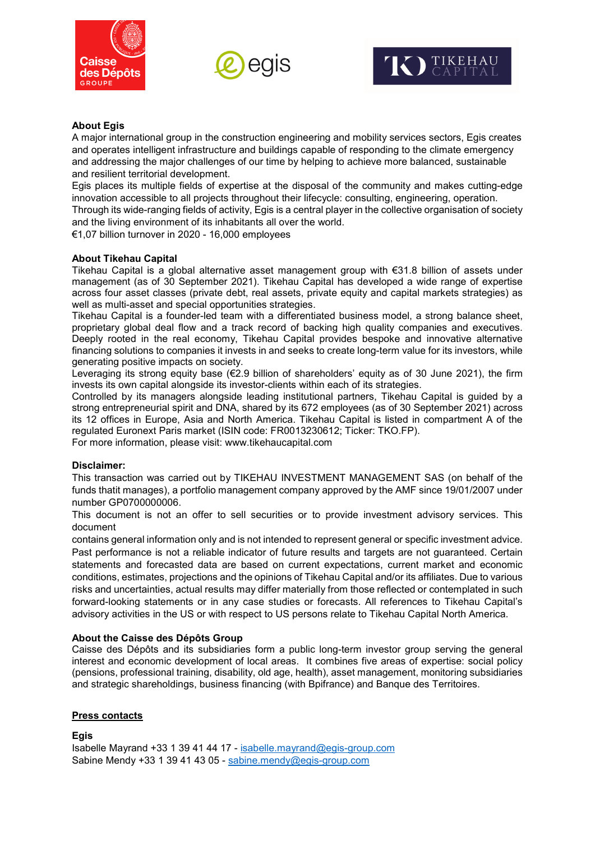





## **About Egis**

A major international group in the construction engineering and mobility services sectors, Egis creates and operates intelligent infrastructure and buildings capable of responding to the climate emergency and addressing the major challenges of our time by helping to achieve more balanced, sustainable and resilient territorial development.

Egis places its multiple fields of expertise at the disposal of the community and makes cutting-edge innovation accessible to all projects throughout their lifecycle: consulting, engineering, operation. Through its wide-ranging fields of activity, Egis is a central player in the collective organisation of society and the living environment of its inhabitants all over the world.

€1,07 billion turnover in 2020 - 16,000 employees

## **About Tikehau Capital**

Tikehau Capital is a global alternative asset management group with €31.8 billion of assets under management (as of 30 September 2021). Tikehau Capital has developed a wide range of expertise across four asset classes (private debt, real assets, private equity and capital markets strategies) as well as multi-asset and special opportunities strategies.

Tikehau Capital is a founder-led team with a differentiated business model, a strong balance sheet, proprietary global deal flow and a track record of backing high quality companies and executives. Deeply rooted in the real economy, Tikehau Capital provides bespoke and innovative alternative financing solutions to companies it invests in and seeks to create long-term value for its investors, while generating positive impacts on society.

Leveraging its strong equity base ( $\epsilon$ 2.9 billion of shareholders' equity as of 30 June 2021), the firm invests its own capital alongside its investor-clients within each of its strategies.

Controlled by its managers alongside leading institutional partners, Tikehau Capital is guided by a strong entrepreneurial spirit and DNA, shared by its 672 employees (as of 30 September 2021) across its 12 offices in Europe, Asia and North America. Tikehau Capital is listed in compartment A of the regulated Euronext Paris market (ISIN code: FR0013230612; Ticker: TKO.FP).

For more information, please visit: [www.tikehaucapital.com](http://www.tikehaucapital.com/)

#### **Disclaimer:**

This transaction was carried out by TIKEHAU INVESTMENT MANAGEMENT SAS (on behalf of the funds thatit manages), a portfolio management company approved by the AMF since 19/01/2007 under number GP0700000006.

This document is not an offer to sell securities or to provide investment advisory services. This document

contains general information only and is not intended to represent general or specific investment advice. Past performance is not a reliable indicator of future results and targets are not guaranteed. Certain statements and forecasted data are based on current expectations, current market and economic conditions, estimates, projections and the opinions of Tikehau Capital and/or its affiliates. Due to various risks and uncertainties, actual results may differ materially from those reflected or contemplated in such forward-looking statements or in any case studies or forecasts. All references to Tikehau Capital's advisory activities in the US or with respect to US persons relate to Tikehau Capital North America.

## **About the Caisse des Dépôts Group**

Caisse des Dépôts and its subsidiaries form a public long-term investor group serving the general interest and economic development of local areas. It combines five areas of expertise: social policy (pensions, professional training, disability, old age, health), asset management, monitoring subsidiaries and strategic shareholdings, business financing (with Bpifrance) and Banque des Territoires.

## **Press contacts**

**Egis** Isabelle Mayrand +33 1 39 41 44 17 - [isabelle.mayrand@egis-group.com](mailto:isabelle.mayrand@egis-group.com) Sabine Mendy +33 1 39 41 43 05 - [sabine.mendy@egis-group.com](mailto:sabine.mendy@egis-group.com)